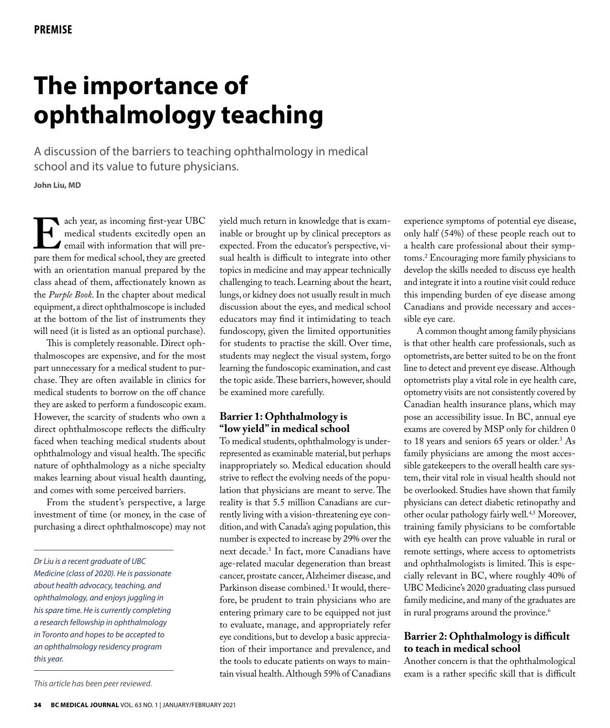# **The importance of ophthalmology teaching**

A discussion of the barriers to teaching ophthalmology in medical school and its value to future physicians.

**John Liu, MD**

ach year, as incoming first-year UBC<br>medical students excitedly open an<br>email with information that will pre-<br>pare them for medical school, they are greeted medical students excitedly open an email with information that will prepare them for medical school, they are greeted with an orientation manual prepared by the class ahead of them, affectionately known as the *Purple Book*. In the chapter about medical equipment, a direct ophthalmoscope is included at the bottom of the list of instruments they will need (it is listed as an optional purchase).

This is completely reasonable. Direct ophthalmoscopes are expensive, and for the most part unnecessary for a medical student to purchase. They are often available in clinics for medical students to borrow on the off chance they are asked to perform a fundoscopic exam. However, the scarcity of students who own a direct ophthalmoscope reflects the difficulty faced when teaching medical students about ophthalmology and visual health. The specific nature of ophthalmology as a niche specialty makes learning about visual health daunting, and comes with some perceived barriers.

From the student's perspective, a large investment of time (or money, in the case of purchasing a direct ophthalmoscope) may not

*Dr Liu is a recent graduate of UBC Medicine (class of 2020). He is passionate about health advocacy, teaching, and ophthalmology, and enjoys juggling in his spare time. He is currently completing a research fellowship in ophthalmology in Toronto and hopes to be accepted to an ophthalmology residency program this year.*

*This article has been peer reviewed.*

yield much return in knowledge that is examinable or brought up by clinical preceptors as expected. From the educator's perspective, visual health is difficult to integrate into other topics in medicine and may appear technically challenging to teach. Learning about the heart, lungs, or kidney does not usually result in much discussion about the eyes, and medical school educators may find it intimidating to teach fundoscopy, given the limited opportunities for students to practise the skill. Over time, students may neglect the visual system, forgo learning the fundoscopic examination, and cast the topic aside. These barriers, however, should be examined more carefully.

## **Barrier 1: Ophthalmology is "low yield" in medical school**

To medical students, ophthalmology is underrepresented as examinable material, but perhaps inappropriately so. Medical education should strive to reflect the evolving needs of the population that physicians are meant to serve. The reality is that 5.5 million Canadians are currently living with a vision-threatening eye condition, and with Canada's aging population, this number is expected to increase by 29% over the next decade.1 In fact, more Canadians have age-related macular degeneration than breast cancer, prostate cancer, Alzheimer disease, and Parkinson disease combined.1 It would, therefore, be prudent to train physicians who are entering primary care to be equipped not just to evaluate, manage, and appropriately refer eye conditions, but to develop a basic appreciation of their importance and prevalence, and the tools to educate patients on ways to maintain visual health. Although 59% of Canadians

experience symptoms of potential eye disease, only half (54%) of these people reach out to a health care professional about their symptoms.2 Encouraging more family physicians to develop the skills needed to discuss eye health and integrate it into a routine visit could reduce this impending burden of eye disease among Canadians and provide necessary and accessible eye care.

A common thought among family physicians is that other health care professionals, such as optometrists, are better suited to be on the front line to detect and prevent eye disease. Although optometrists play a vital role in eye health care, optometry visits are not consistently covered by Canadian health insurance plans, which may pose an accessibility issue. In BC, annual eye exams are covered by MSP only for children 0 to 18 years and seniors 65 years or older.<sup>3</sup> As family physicians are among the most accessible gatekeepers to the overall health care system, their vital role in visual health should not be overlooked. Studies have shown that family physicians can detect diabetic retinopathy and other ocular pathology fairly well.4,5 Moreover, training family physicians to be comfortable with eye health can prove valuable in rural or remote settings, where access to optometrists and ophthalmologists is limited. This is especially relevant in BC, where roughly 40% of UBC Medicine's 2020 graduating class pursued family medicine, and many of the graduates are in rural programs around the province.<sup>6</sup>

## **Barrier 2: Ophthalmology is difficult to teach in medical school**

Another concern is that the ophthalmological exam is a rather specific skill that is difficult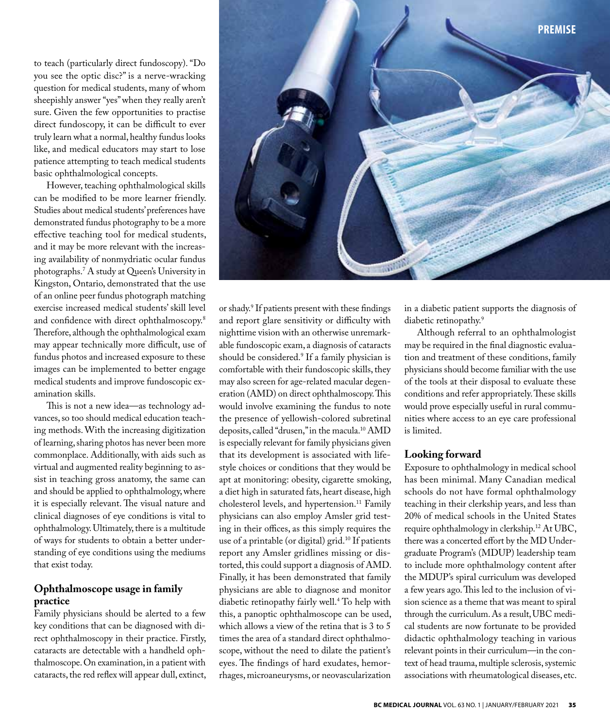to teach (particularly direct fundoscopy). "Do you see the optic disc?" is a nerve-wracking question for medical students, many of whom sheepishly answer "yes" when they really aren't sure. Given the few opportunities to practise direct fundoscopy, it can be difficult to ever truly learn what a normal, healthy fundus looks like, and medical educators may start to lose patience attempting to teach medical students basic ophthalmological concepts.

However, teaching ophthalmological skills can be modified to be more learner friendly. Studies about medical students' preferences have demonstrated fundus photography to be a more effective teaching tool for medical students, and it may be more relevant with the increasing availability of nonmydriatic ocular fundus photographs.7 A study at Queen's University in Kingston, Ontario, demonstrated that the use of an online peer fundus photograph matching exercise increased medical students' skill level and confidence with direct ophthalmoscopy.8 Therefore, although the ophthalmological exam may appear technically more difficult, use of fundus photos and increased exposure to these images can be implemented to better engage medical students and improve fundoscopic examination skills.

This is not a new idea—as technology advances, so too should medical education teaching methods. With the increasing digitization of learning, sharing photos has never been more commonplace. Additionally, with aids such as virtual and augmented reality beginning to assist in teaching gross anatomy, the same can and should be applied to ophthalmology, where it is especially relevant. The visual nature and clinical diagnoses of eye conditions is vital to ophthalmology. Ultimately, there is a multitude of ways for students to obtain a better understanding of eye conditions using the mediums that exist today.

## **Ophthalmoscope usage in family practice**

Family physicians should be alerted to a few key conditions that can be diagnosed with direct ophthalmoscopy in their practice. Firstly, cataracts are detectable with a handheld ophthalmoscope. On examination, in a patient with cataracts, the red reflex will appear dull, extinct,



in a diabetic patient supports the diagnosis of diabetic retinopathy.<sup>9</sup>

**premise**

Although referral to an ophthalmologist may be required in the final diagnostic evaluation and treatment of these conditions, family physicians should become familiar with the use of the tools at their disposal to evaluate these conditions and refer appropriately. These skills would prove especially useful in rural communities where access to an eye care professional is limited.

### **Looking forward**

Exposure to ophthalmology in medical school has been minimal. Many Canadian medical schools do not have formal ophthalmology teaching in their clerkship years, and less than 20% of medical schools in the United States require ophthalmology in clerkship.12 At UBC, there was a concerted effort by the MD Undergraduate Program's (MDUP) leadership team to include more ophthalmology content after the MDUP's spiral curriculum was developed a few years ago. This led to the inclusion of vision science as a theme that was meant to spiral through the curriculum. As a result, UBC medical students are now fortunate to be provided didactic ophthalmology teaching in various relevant points in their curriculum—in the context of head trauma, multiple sclerosis, systemic associations with rheumatological diseases, etc.